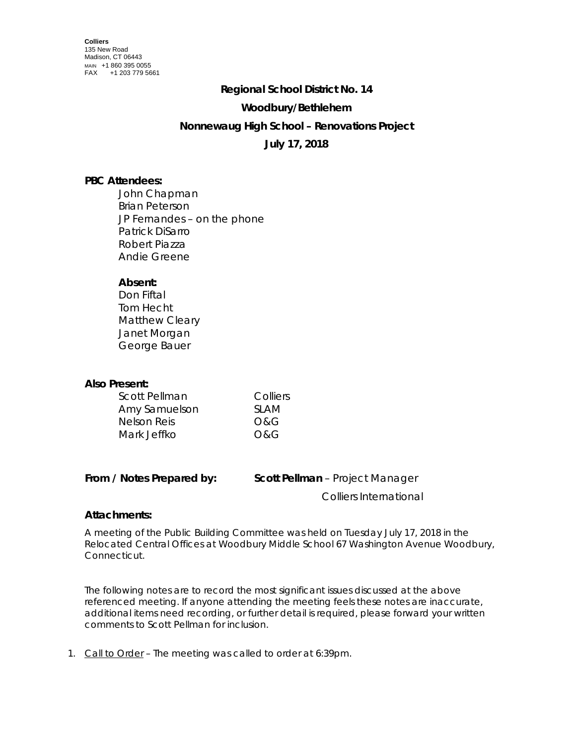## **Regional School District No. 14**

#### **Woodbury/Bethlehem**

## **Nonnewaug High School – Renovations Project**

## **July 17, 2018**

## **PBC Attendees:**

John Chapman Brian Peterson JP Fernandes – on the phone Patrick DiSarro Robert Piazza Andie Greene

## **Absent:**

Don Fiftal Tom Hecht Matthew Cleary Janet Morgan George Bauer

# **Also Present:**

| Scott Pellman | Colliers |
|---------------|----------|
| Amy Samuelson | SI AM    |
| Nelson Reis   | O&G      |
| Mark Jeffko   | O&G      |

|  |  | From / Notes Prepared by: |  |
|--|--|---------------------------|--|
|--|--|---------------------------|--|

**Scott Pellman** – Project Manager

Colliers International

## **Attachments:**

A meeting of the Public Building Committee was held on Tuesday July 17, 2018 in the Relocated Central Offices at Woodbury Middle School 67 Washington Avenue Woodbury, Connecticut.

The following notes are to record the most significant issues discussed at the above referenced meeting. If anyone attending the meeting feels these notes are inaccurate, additional items need recording, or further detail is required, please forward your written comments to Scott Pellman for inclusion.

1. Call to Order – The meeting was called to order at 6:39pm.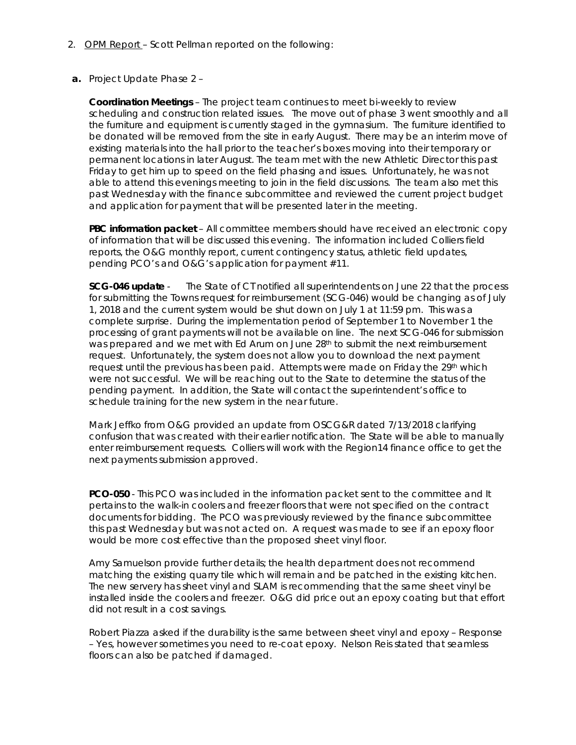- 2. OPM Report Scott Pellman reported on the following:
- **a.** Project Update Phase 2 –

**Coordination Meetings** – The project team continues to meet bi-weekly to review scheduling and construction related issues. The move out of phase 3 went smoothly and all the furniture and equipment is currently staged in the gymnasium. The furniture identified to be donated will be removed from the site in early August. There may be an interim move of existing materials into the hall prior to the teacher's boxes moving into their temporary or permanent locations in later August. The team met with the new Athletic Director this past Friday to get him up to speed on the field phasing and issues. Unfortunately, he was not able to attend this evenings meeting to join in the field discussions. The team also met this past Wednesday with the finance subcommittee and reviewed the current project budget and application for payment that will be presented later in the meeting.

**PBC information packet** – All committee members should have received an electronic copy of information that will be discussed this evening. The information included Colliers field reports, the O&G monthly report, current contingency status, athletic field updates, pending PCO's and O&G's application for payment #11.

**SCG-046 update** - The State of CT notified all superintendents on June 22 that the process for submitting the Towns request for reimbursement (SCG-046) would be changing as of July 1, 2018 and the current system would be shut down on July 1 at 11:59 pm. This was a complete surprise. During the implementation period of September 1 to November 1 the processing of grant payments will not be available on line. The next SCG-046 for submission was prepared and we met with Ed Arum on June 28<sup>th</sup> to submit the next reimbursement request. Unfortunately, the system does not allow you to download the next payment request until the previous has been paid. Attempts were made on Friday the 29th which were not successful. We will be reaching out to the State to determine the status of the pending payment. In addition, the State will contact the superintendent's office to schedule training for the new system in the near future.

Mark Jeffko from O&G provided an update from OSCG&R dated 7/13/2018 clarifying confusion that was created with their earlier notification. The State will be able to manually enter reimbursement requests. Colliers will work with the Region14 finance office to get the next payments submission approved.

**PCO-050** - This PCO was included in the information packet sent to the committee and It pertains to the walk-in coolers and freezer floors that were not specified on the contract documents for bidding. The PCO was previously reviewed by the finance subcommittee this past Wednesday but was not acted on. A request was made to see if an epoxy floor would be more cost effective than the proposed sheet vinyl floor.

Amy Samuelson provide further details; the health department does not recommend matching the existing quarry tile which will remain and be patched in the existing kitchen. The new servery has sheet vinyl and SLAM is recommending that the same sheet vinyl be installed inside the coolers and freezer. O&G did price out an epoxy coating but that effort did not result in a cost savings.

Robert Piazza asked if the durability is the same between sheet vinyl and epoxy – Response – Yes, however sometimes you need to re-coat epoxy. Nelson Reis stated that seamless floors can also be patched if damaged.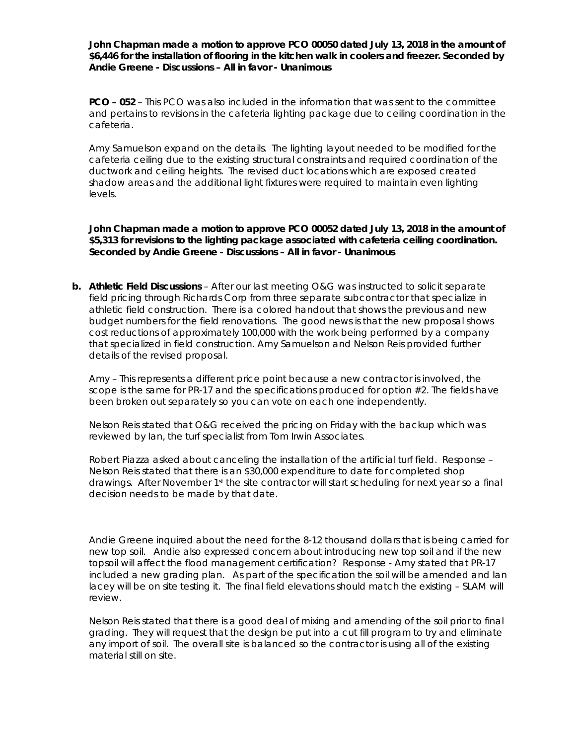**John Chapman made a motion to approve PCO 00050 dated July 13, 2018 in the amount of \$6,446 for the installation of flooring in the kitchen walk in coolers and freezer. Seconded by Andie Greene - Discussions – All in favor - Unanimous**

**PCO – 052** – This PCO was also included in the information that was sent to the committee and pertains to revisions in the cafeteria lighting package due to ceiling coordination in the cafeteria.

Amy Samuelson expand on the details. The lighting layout needed to be modified for the cafeteria ceiling due to the existing structural constraints and required coordination of the ductwork and ceiling heights. The revised duct locations which are exposed created shadow areas and the additional light fixtures were required to maintain even lighting levels.

**John Chapman made a motion to approve PCO 00052 dated July 13, 2018 in the amount of \$5,313 for revisions to the lighting package associated with cafeteria ceiling coordination. Seconded by Andie Greene - Discussions – All in favor - Unanimous**

**b. Athletic Field Discussions** – After our last meeting O&G was instructed to solicit separate field pricing through Richards Corp from three separate subcontractor that specialize in athletic field construction. There is a colored handout that shows the previous and new budget numbers for the field renovations. The good news is that the new proposal shows cost reductions of approximately 100,000 with the work being performed by a company that specialized in field construction. Amy Samuelson and Nelson Reis provided further details of the revised proposal.

Amy – This represents a different price point because a new contractor is involved, the scope is the same for PR-17 and the specifications produced for option #2. The fields have been broken out separately so you can vote on each one independently.

Nelson Reis stated that O&G received the pricing on Friday with the backup which was reviewed by Ian, the turf specialist from Tom Irwin Associates.

Robert Piazza asked about canceling the installation of the artificial turf field. Response – Nelson Reis stated that there is an \$30,000 expenditure to date for completed shop drawings. After November 1<sup>st</sup> the site contractor will start scheduling for next year so a final decision needs to be made by that date.

Andie Greene inquired about the need for the 8-12 thousand dollars that is being carried for new top soil. Andie also expressed concern about introducing new top soil and if the new topsoil will affect the flood management certification? Response - Amy stated that PR-17 included a new grading plan. As part of the specification the soil will be amended and Ian lacey will be on site testing it. The final field elevations should match the existing – SLAM will review.

Nelson Reis stated that there is a good deal of mixing and amending of the soil prior to final grading. They will request that the design be put into a cut fill program to try and eliminate any import of soil. The overall site is balanced so the contractor is using all of the existing material still on site.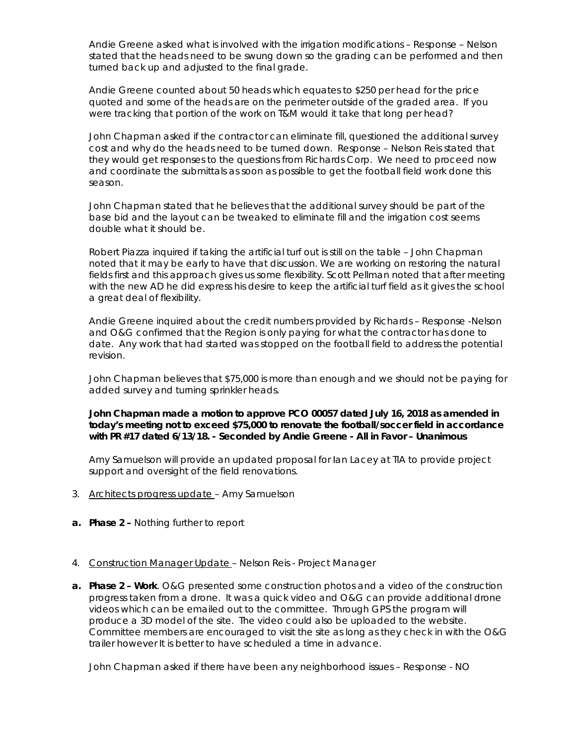Andie Greene asked what is involved with the irrigation modifications – Response – Nelson stated that the heads need to be swung down so the grading can be performed and then turned back up and adjusted to the final grade.

Andie Greene counted about 50 heads which equates to \$250 per head for the price quoted and some of the heads are on the perimeter outside of the graded area. If you were tracking that portion of the work on T&M would it take that long per head?

John Chapman asked if the contractor can eliminate fill, questioned the additional survey cost and why do the heads need to be turned down. Response – Nelson Reis stated that they would get responses to the questions from Richards Corp. We need to proceed now and coordinate the submittals as soon as possible to get the football field work done this season.

John Chapman stated that he believes that the additional survey should be part of the base bid and the layout can be tweaked to eliminate fill and the irrigation cost seems double what it should be.

Robert Piazza inquired if taking the artificial turf out is still on the table – John Chapman noted that it may be early to have that discussion. We are working on restoring the natural fields first and this approach gives us some flexibility. Scott Pellman noted that after meeting with the new AD he did express his desire to keep the artificial turf field as it gives the school a great deal of flexibility.

Andie Greene inquired about the credit numbers provided by Richards – Response -Nelson and O&G confirmed that the Region is only paying for what the contractor has done to date. Any work that had started was stopped on the football field to address the potential revision.

John Chapman believes that \$75,000 is more than enough and we should not be paying for added survey and turning sprinkler heads.

**John Chapman made a motion to approve PCO 00057 dated July 16, 2018 as amended in today's meeting not to exceed \$75,000 to renovate the football/soccer field in accordance with PR #17 dated 6/13/18. - Seconded by Andie Greene - All in Favor – Unanimous** 

Amy Samuelson will provide an updated proposal for Ian Lacey at TIA to provide project support and oversight of the field renovations.

- 3. Architects progress update Amy Samuelson
- **a. Phase 2 –** Nothing further to report
- 4. Construction Manager Update Nelson Reis Project Manager
- **a. Phase 2 – Work**. O&G presented some construction photos and a video of the construction progress taken from a drone. It was a quick video and O&G can provide additional drone videos which can be emailed out to the committee. Through GPS the program will produce a 3D model of the site. The video could also be uploaded to the website. Committee members are encouraged to visit the site as long as they check in with the O&G trailer however It is better to have scheduled a time in advance.

John Chapman asked if there have been any neighborhood issues – Response - NO